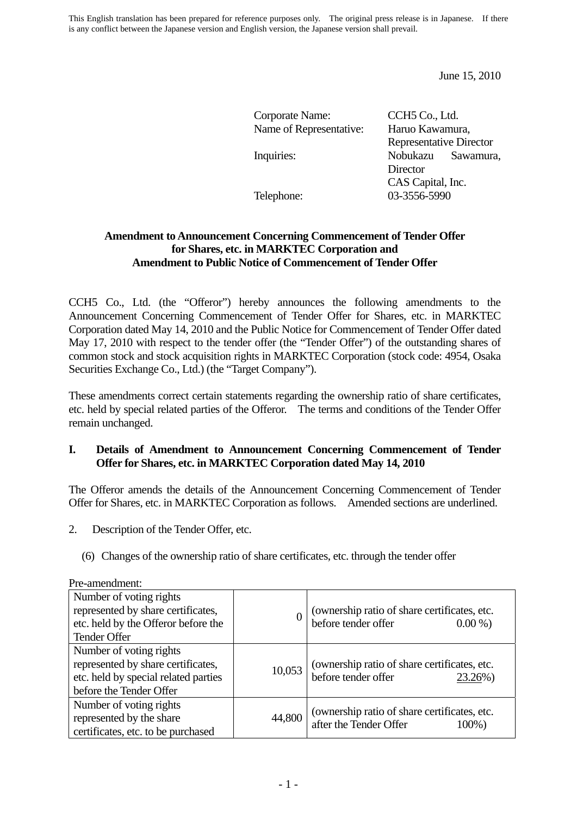This English translation has been prepared for reference purposes only. The original press release is in Japanese. If there is any conflict between the Japanese version and English version, the Japanese version shall prevail.

June 15, 2010

| Corporate Name:         | CCH <sub>5</sub> Co., Ltd.     |                    |
|-------------------------|--------------------------------|--------------------|
| Name of Representative: | Haruo Kawamura,                |                    |
|                         | <b>Representative Director</b> |                    |
| Inquiries:              |                                | Nobukazu Sawamura, |

ve Director **Director** CAS Capital, Inc. Telephone: 03-3556-5990

### **Amendment to Announcement Concerning Commencement of Tender Offer for Shares, etc. in MARKTEC Corporation and Amendment to Public Notice of Commencement of Tender Offer**

CCH5 Co., Ltd. (the "Offeror") hereby announces the following amendments to the Announcement Concerning Commencement of Tender Offer for Shares, etc. in MARKTEC Corporation dated May 14, 2010 and the Public Notice for Commencement of Tender Offer dated May 17, 2010 with respect to the tender offer (the "Tender Offer") of the outstanding shares of common stock and stock acquisition rights in MARKTEC Corporation (stock code: 4954, Osaka Securities Exchange Co., Ltd.) (the "Target Company").

These amendments correct certain statements regarding the ownership ratio of share certificates, etc. held by special related parties of the Offeror. The terms and conditions of the Tender Offer remain unchanged.

### **I. Details of Amendment to Announcement Concerning Commencement of Tender Offer for Shares, etc. in MARKTEC Corporation dated May 14, 2010**

The Offeror amends the details of the Announcement Concerning Commencement of Tender Offer for Shares, etc. in MARKTEC Corporation as follows. Amended sections are underlined.

- 2. Description of the Tender Offer, etc.
	- (6) Changes of the ownership ratio of share certificates, etc. through the tender offer

| Number of voting rights<br>represented by share certificates,<br>etc. held by the Offeror before the<br><b>Tender Offer</b>      | $\overline{0}$ | (ownership ratio of share certificates, etc.<br>before tender offer<br>$0.00\%$ )   |
|----------------------------------------------------------------------------------------------------------------------------------|----------------|-------------------------------------------------------------------------------------|
| Number of voting rights<br>represented by share certificates,<br>etc. held by special related parties<br>before the Tender Offer | 10,053         | (ownership ratio of share certificates, etc.<br>before tender offer<br>23.26%)      |
| Number of voting rights<br>represented by the share<br>certificates, etc. to be purchased                                        | 44,800         | (ownership ratio of share certificates, etc.<br>after the Tender Offer<br>$100\%$ ) |

Pre-amendment: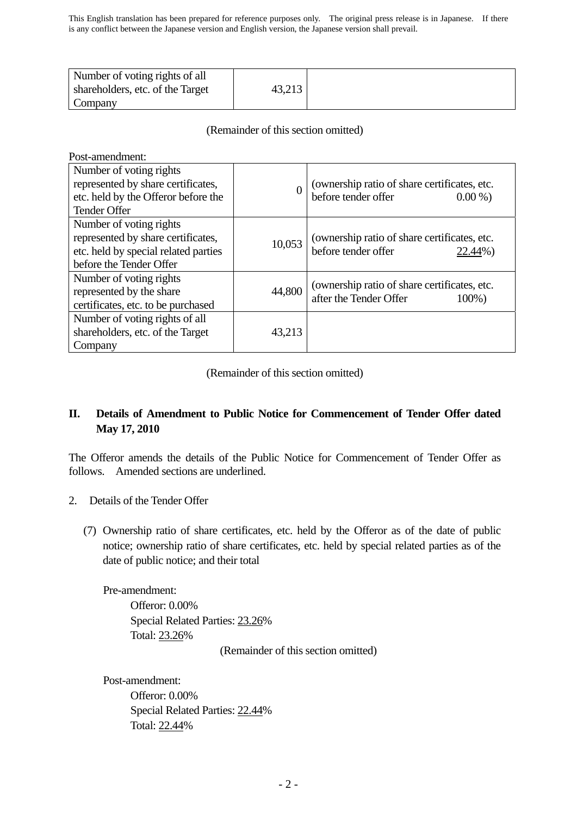| Number of voting rights of all   |        |  |
|----------------------------------|--------|--|
| shareholders, etc. of the Target | 43,213 |  |
| Company                          |        |  |

## (Remainder of this section omitted)

Post-amendment:

| Number of voting rights<br>represented by share certificates,<br>etc. held by the Offeror before the<br>Tender Offer             | 0      | (ownership ratio of share certificates, etc.<br>before tender offer<br>$0.00\%$ |
|----------------------------------------------------------------------------------------------------------------------------------|--------|---------------------------------------------------------------------------------|
| Number of voting rights<br>represented by share certificates,<br>etc. held by special related parties<br>before the Tender Offer | 10,053 | (ownership ratio of share certificates, etc.<br>before tender offer<br>22.44%)  |
| Number of voting rights<br>represented by the share<br>certificates, etc. to be purchased                                        | 44,800 | (ownership ratio of share certificates, etc.<br>after the Tender Offer<br>100%) |
| Number of voting rights of all<br>shareholders, etc. of the Target<br>Company                                                    | 43,213 |                                                                                 |

(Remainder of this section omitted)

# **II. Details of Amendment to Public Notice for Commencement of Tender Offer dated May 17, 2010**

The Offeror amends the details of the Public Notice for Commencement of Tender Offer as follows. Amended sections are underlined.

- 2. Details of the Tender Offer
	- (7) Ownership ratio of share certificates, etc. held by the Offeror as of the date of public notice; ownership ratio of share certificates, etc. held by special related parties as of the date of public notice; and their total

Pre-amendment:

Offeror: 0.00% Special Related Parties: 23.26% Total: 23.26%

(Remainder of this section omitted)

Post-amendment:

Offeror: 0.00% Special Related Parties: 22.44% Total: 22.44%